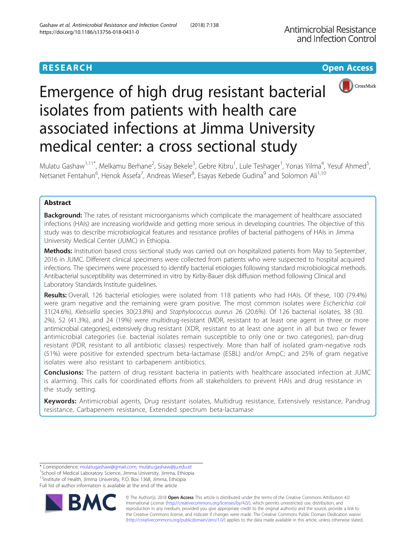# **RESEARCH CHE Open Access**



# Emergence of high drug resistant bacterial isolates from patients with health care associated infections at Jimma University medical center: a cross sectional study

Mulatu Gashaw<sup>1,11\*</sup>, Melkamu Berhane<sup>2</sup>, Sisay Bekele<sup>3</sup>, Gebre Kibru<sup>1</sup>, Lule Teshager<sup>1</sup>, Yonas Yilma<sup>4</sup>, Yesuf Ahmed<sup>5</sup> , Netsanet Fentahun<sup>6</sup>, Henok Assefa<sup>7</sup>, Andreas Wieser<sup>8</sup>, Esayas Kebede Gudina<sup>9</sup> and Solomon Ali<sup>1,10</sup>

# Abstract

**Background:** The rates of resistant microorganisms which complicate the management of healthcare associated infections (HAIs) are increasing worldwide and getting more serious in developing countries. The objective of this study was to describe microbiological features and resistance profiles of bacterial pathogens of HAIs in Jimma University Medical Center (JUMC) in Ethiopia.

Methods: Institution based cross sectional study was carried out on hospitalized patients from May to September, 2016 in JUMC. Different clinical specimens were collected from patients who were suspected to hospital acquired infections. The specimens were processed to identify bacterial etiologies following standard microbiological methods. Antibacterial susceptibility was determined in vitro by Kirby-Bauer disk diffusion method following Clinical and Laboratory Standards Institute guidelines.

Results: Overall, 126 bacterial etiologies were isolated from 118 patients who had HAIs. Of these, 100 (79.4%) were gram negative and the remaining were gram positive. The most common isolates were Escherichia coli 31(24.6%), Klebsiella species 30(23.8%) and Staphylococcus aureus 26 (20.6%). Of 126 bacterial isolates, 38 (30. 2%), 52 (41.3%), and 24 (19%) were multidrug-resistant (MDR, resistant to at least one agent in three or more antimicrobial categories), extensively drug resistant (XDR, resistant to at least one agent in all but two or fewer antimicrobial categories (i.e. bacterial isolates remain susceptible to only one or two categories), pan-drug resistant (PDR, resistant to all antibiotic classes) respectively. More than half of isolated gram-negative rods (51%) were positive for extended spectrum beta-lactamase (ESBL) and/or AmpC; and 25% of gram negative isolates were also resistant to carbapenem antibiotics.

Conclusions: The pattern of drug resistant bacteria in patients with healthcare associated infection at JUMC is alarming. This calls for coordinated efforts from all stakeholders to prevent HAIs and drug resistance in the study setting.

Keywords: Antimicrobial agents, Drug resistant isolates, Multidrug resistance, Extensively resistance, Pandrug resistance, Carbapenem resistance, Extended spectrum beta-lactamase

Full list of author information is available at the end of the article



© The Author(s). 2018 Open Access This article is distributed under the terms of the Creative Commons Attribution 4.0 International License [\(http://creativecommons.org/licenses/by/4.0/](http://creativecommons.org/licenses/by/4.0/)), which permits unrestricted use, distribution, and reproduction in any medium, provided you give appropriate credit to the original author(s) and the source, provide a link to the Creative Commons license, and indicate if changes were made. The Creative Commons Public Domain Dedication waiver [\(http://creativecommons.org/publicdomain/zero/1.0/](http://creativecommons.org/publicdomain/zero/1.0/)) applies to the data made available in this article, unless otherwise stated.

<sup>\*</sup> Correspondence: [mulatugashaw@gmail.com](mailto:mulatugashaw@gmail.com); [mulatu.gashaw@ju.edu.et](mailto:mulatu.gashaw@ju.edu.et) <sup>1</sup>

<sup>&</sup>lt;sup>1</sup>School of Medical Laboratory Science, Jimma University, Jimma, Ethiopia  $11$ Institute of Health, Jimma University, P.O. Box 1368, Jimma, Ethiopia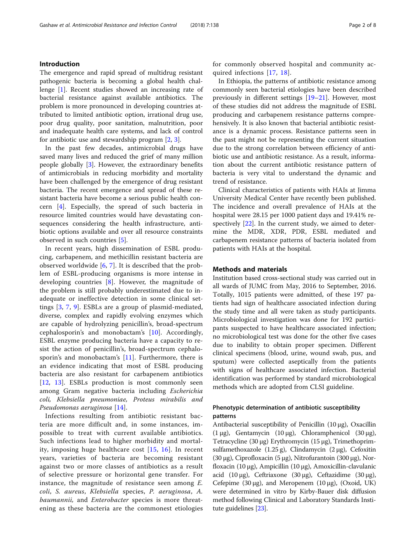# Introduction

The emergence and rapid spread of multidrug resistant pathogenic bacteria is becoming a global health challenge [[1\]](#page-6-0). Recent studies showed an increasing rate of bacterial resistance against available antibiotics. The problem is more pronounced in developing countries attributed to limited antibiotic option, irrational drug use, poor drug quality, poor sanitation, malnutrition, poor and inadequate health care systems, and lack of control for antibiotic use and stewardship program [\[2](#page-6-0), [3](#page-6-0)].

In the past few decades, antimicrobial drugs have saved many lives and reduced the grief of many million people globally [\[3](#page-6-0)]. However, the extraordinary benefits of antimicrobials in reducing morbidity and mortality have been challenged by the emergence of drug resistant bacteria. The recent emergence and spread of these resistant bacteria have become a serious public health concern [[4](#page-6-0)]. Especially, the spread of such bacteria in resource limited countries would have devastating consequences considering the health infrastructure, antibiotic options available and over all resource constraints observed in such countries [[5\]](#page-6-0).

In recent years, high dissemination of ESBL producing, carbapenem, and methicillin resistant bacteria are observed worldwide [\[6](#page-6-0), [7\]](#page-6-0). It is described that the problem of ESBL-producing organisms is more intense in developing countries [\[8](#page-6-0)]. However, the magnitude of the problem is still probably underestimated due to inadequate or ineffective detection in some clinical settings [[3,](#page-6-0) [7,](#page-6-0) [9](#page-6-0)]. ESBLs are a group of plasmid-mediated, diverse, complex and rapidly evolving enzymes which are capable of hydrolyzing penicillin's, broad-spectrum cephalosporin's and monobactam's [[10\]](#page-6-0). Accordingly, ESBL enzyme producing bacteria have a capacity to resist the action of penicillin's, broad-spectrum cephalosporin's and monobactam's [\[11](#page-6-0)]. Furthermore, there is an evidence indicating that most of ESBL producing bacteria are also resistant for carbapenem antibiotics [[12,](#page-6-0) [13](#page-6-0)]. ESBLs production is most commonly seen among Gram negative bacteria including Escherichia coli, Klebsiella pneumoniae, Proteus mirabilis and Pseudomonas aeruginosa [[14](#page-6-0)].

Infections resulting from antibiotic resistant bacteria are more difficult and, in some instances, impossible to treat with current available antibiotics. Such infections lead to higher morbidity and mortality, imposing huge healthcare cost [\[15,](#page-6-0) [16](#page-6-0)]. In recent years, varieties of bacteria are becoming resistant against two or more classes of antibiotics as a result of selective pressure or horizontal gene transfer. For instance, the magnitude of resistance seen among E. coli, S. aureus, Klebsiella species, P. aeruginosa, A. baumannii, and Enterobacter species is more threatening as these bacteria are the commonest etiologies for commonly observed hospital and community acquired infections [[17](#page-6-0), [18\]](#page-6-0).

In Ethiopia, the patterns of antibiotic resistance among commonly seen bacterial etiologies have been described previously in different settings [[19](#page-6-0)–[21](#page-7-0)]. However, most of these studies did not address the magnitude of ESBL producing and carbapenem resistance patterns comprehensively. It is also known that bacterial antibiotic resistance is a dynamic process. Resistance patterns seen in the past might not be representing the current situation due to the strong correlation between efficiency of antibiotic use and antibiotic resistance. As a result, information about the current antibiotic resistance pattern of bacteria is very vital to understand the dynamic and trend of resistance.

Clinical characteristics of patients with HAIs at Jimma University Medical Center have recently been published. The incidence and overall prevalence of HAIs at the hospital were 28.15 per 1000 patient days and 19.41% respectively [[22\]](#page-7-0). In the current study, we aimed to determine the MDR, XDR, PDR, ESBL mediated and carbapenem resistance patterns of bacteria isolated from patients with HAIs at the hospital.

# Methods and materials

Institution based cross-sectional study was carried out in all wards of JUMC from May, 2016 to September, 2016. Totally, 1015 patients were admitted, of these 197 patients had sign of healthcare associated infection during the study time and all were taken as study participants. Microbiological investigation was done for 192 participants suspected to have healthcare associated infection; no microbiological test was done for the other five cases due to inability to obtain proper specimen. Different clinical specimens (blood, urine, wound swab, pus, and sputum) were collected aseptically from the patients with signs of healthcare associated infection. Bacterial identification was performed by standard microbiological methods which are adopted from CLSI guideline.

# Phenotypic determination of antibiotic susceptibility patterns

Antibacterial susceptibility of Penicillin (10 μg), Oxacillin (1 μg), Gentamycin (10 μg), Chloramphenicol (30 μg), Tetracycline (30 μg) Erythromycin (15 μg), Trimethoprimsulfamethoxazole  $(1.25 g)$ , Clindamycin  $(2 μg)$ , Cefoxitin (30 μg), Ciprofloxacin (5 μg), Nitrofurantoin (300 μg), Norfloxacin (10 μg), Ampicillin (10 μg), Amoxicillin-clavulanic acid (10 μg), Ceftriaxone (30 μg), Ceftazidime (30 μg), Cefepime (30 μg), and Meropenem (10 μg), (Oxoid, UK) were determined in vitro by Kirby-Bauer disk diffusion method following Clinical and Laboratory Standards Institute guidelines [[23](#page-7-0)].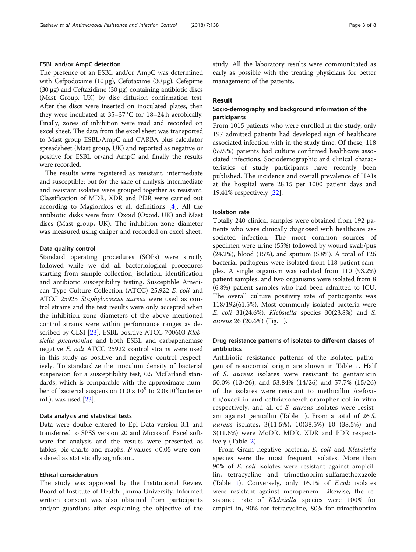# ESBL and/or AmpC detection

The presence of an ESBL and/or AmpC was determined with Cefpodoxime (10 μg), Cefotaxime (30 μg), Cefepime (30 μg) and Ceftazidime (30 μg) containing antibiotic discs (Mast Group, UK) by disc diffusion confirmation test. After the discs were inserted on inoculated plates, then they were incubated at 35–37 °C for 18–24 h aerobically. Finally, zones of inhibition were read and recorded on excel sheet. The data from the excel sheet was transported to Mast group ESBL/AmpC and CARBA plus calculator spreadsheet (Mast group, UK) and reported as negative or positive for ESBL or/and AmpC and finally the results were recorded.

The results were registered as resistant, intermediate and susceptible; but for the sake of analysis intermediate and resistant isolates were grouped together as resistant. Classification of MDR, XDR and PDR were carried out according to Magiorakos et al, definitions [\[4](#page-6-0)]. All the antibiotic disks were from Oxoid (Oxoid, UK) and Mast discs (Mast group, UK). The inhibition zone diameter was measured using caliper and recorded on excel sheet.

# Data quality control

Standard operating procedures (SOPs) were strictly followed while we did all bacteriological procedures starting from sample collection, isolation, identification and antibiotic susceptibility testing. Susceptible American Type Culture Collection (ATCC) 25,922 E. coli and ATCC 25923 Staphylococcus aureus were used as control strains and the test results were only accepted when the inhibition zone diameters of the above mentioned control strains were within performance ranges as de-scribed by CLSI [[23\]](#page-7-0). ESBL positive ATCC 700603 Klebsiella pneumoniae and both ESBL and carbapenemase negative E. coli ATCC 25922 control strains were used in this study as positive and negative control respectively. To standardize the inoculum density of bacterial suspension for a susceptibility test, 0.5 McFarland standards, which is comparable with the approximate number of bacterial suspension  $(1.0 \times 10^8 \text{ to } 2.0 \times 10^8 \text{bacteria}$ mL), was used [[23](#page-7-0)].

#### Data analysis and statistical tests

Data were double entered to Epi Data version 3.1 and transferred to SPSS version 20 and Microsoft Excel software for analysis and the results were presented as tables, pie-charts and graphs.  $P$ -values < 0.05 were considered as statistically significant.

# Ethical consideration

The study was approved by the Institutional Review Board of Institute of Health, Jimma University. Informed written consent was also obtained from participants and/or guardians after explaining the objective of the study. All the laboratory results were communicated as early as possible with the treating physicians for better management of the patients.

#### Result

# Socio-demography and background information of the participants

From 1015 patients who were enrolled in the study; only 197 admitted patients had developed sign of healthcare associated infection with in the study time. Of these, 118 (59.9%) patients had culture confirmed healthcare associated infections. Sociodemographic and clinical characteristics of study participants have recently been published. The incidence and overall prevalence of HAIs at the hospital were 28.15 per 1000 patient days and 19.41% respectively [[22\]](#page-7-0).

# Isolation rate

Totally 240 clinical samples were obtained from 192 patients who were clinically diagnosed with healthcare associated infection. The most common sources of specimen were urine (55%) followed by wound swab/pus (24.2%), blood (15%), and sputum (5.8%). A total of 126 bacterial pathogens were isolated from 118 patient samples. A single organism was isolated from 110 (93.2%) patient samples, and two organisms were isolated from 8 (6.8%) patient samples who had been admitted to ICU. The overall culture positivity rate of participants was 118/192(61.5%). Most commonly isolated bacteria were E. coli 31(24.6%), Klebsiella species 30(23.8%) and S. aureus 26 (20.6%) (Fig. [1](#page-3-0)).

# Drug resistance patterns of isolates to different classes of antibiotics

Antibiotic resistance patterns of the isolated pathogen of nosocomial origin are shown in Table [1.](#page-3-0) Half of S. aureus isolates were resistant to gentamicin 50.0% (13/26); and 53.84% (14/26) and 57.7% (15/26) of the isolates were resistant to methicillin /cefoxitin/oxacillin and ceftriaxone/chloramphenicol in vitro respectively; and all of S. aureus isolates were resistant against penicillin (Table [1\)](#page-3-0). From a total of 26 S. aureus isolates, 3(11.5%), 10(38.5%) 10 (38.5%) and 3(11.6%) were MoDR, MDR, XDR and PDR respectively (Table [2\)](#page-4-0).

From Gram negative bacteria, E. coli and Klebsiella species were the most frequent isolates. More than 90% of E. coli isolates were resistant against ampicillin, tetracycline and trimethoprim-sulfamethoxazole (Table [1](#page-3-0)). Conversely, only 16.1% of E.coli isolates were resistant against meropenem. Likewise, the resistance rate of Klebsiella species were 100% for ampicillin, 90% for tetracycline, 80% for trimethoprim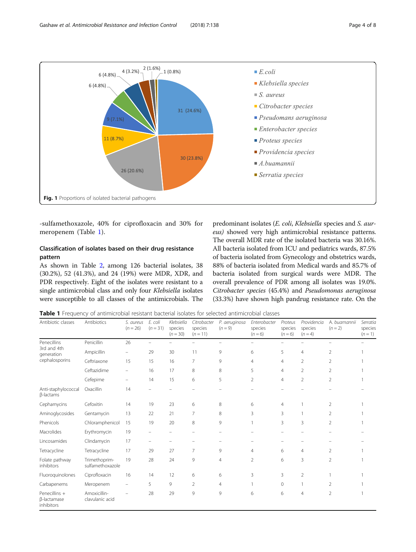<span id="page-3-0"></span>

-sulfamethoxazole, 40% for ciprofloxacin and 30% for meropenem (Table 1).

# Classification of isolates based on their drug resistance pattern

As shown in Table [2](#page-4-0), among 126 bacterial isolates, 38 (30.2%), 52 (41.3%), and 24 (19%) were MDR, XDR, and PDR respectively. Eight of the isolates were resistant to a single antimicrobial class and only four Klebsiella isolates were susceptible to all classes of the antimicrobials. The

predominant isolates (E. coli, Klebsiella species and S. aureus) showed very high antimicrobial resistance patterns. The overall MDR rate of the isolated bacteria was 30.16%. All bacteria isolated from ICU and pediatrics wards, 87.5% of bacteria isolated from Gynecology and obstetrics wards, 88% of bacteria isolated from Medical wards and 85.7% of bacteria isolated from surgical wards were MDR. The overall prevalence of PDR among all isolates was 19.0%. Citrobacter species (45.4%) and Pseudomonas aeruginosa (33.3%) have shown high pandrug resistance rate. On the

Table 1 Frequency of antimicrobial resistant bacterial isolates for selected antimicrobial classes

| Antibiotic classes                                         | Antibiotics                       | S. aureus<br>$(n = 26)$  | E. coli<br>$(n = 31)$ | Klebsiella<br>species<br>$(n = 30)$ | Citrobacter<br>species<br>$(n = 11)$ | P. aeruginosa<br>$(n = 9)$ | Enterobacter<br>species<br>$(n = 6)$ | Proteus<br>species<br>$(n = 6)$ | Providencia<br>species<br>$(n = 4)$ | A. buamannii<br>$(n = 2)$ | Serratia<br>species<br>$(n=1)$ |
|------------------------------------------------------------|-----------------------------------|--------------------------|-----------------------|-------------------------------------|--------------------------------------|----------------------------|--------------------------------------|---------------------------------|-------------------------------------|---------------------------|--------------------------------|
| Penecillins<br>3rd and 4th<br>generation<br>cephalosporins | Penicillin                        | 26                       |                       |                                     |                                      |                            |                                      |                                 |                                     |                           |                                |
|                                                            | Ampicillin                        | $\overline{\phantom{0}}$ | 29                    | 30                                  | 11                                   | 9                          | 6                                    | 5                               | 4                                   | $\overline{2}$            |                                |
|                                                            | Ceftriaxone                       | 15                       | 15                    | 16                                  | 7                                    | 9                          | $\overline{4}$                       | $\overline{4}$                  | $\overline{2}$                      | $\overline{2}$            |                                |
|                                                            | Ceftazidime                       | -                        | 16                    | 17                                  | 8                                    | 8                          | 5                                    | $\overline{4}$                  | $\overline{2}$                      | $\overline{2}$            |                                |
|                                                            | Cefepime                          | -                        | 14                    | 15                                  | 6                                    | 5                          | $\overline{2}$                       | $\overline{4}$                  | $\overline{2}$                      | 2                         |                                |
| Anti-staphylococcal<br>β-lactams                           | Oxacillin                         | 14                       |                       |                                     |                                      |                            |                                      |                                 |                                     |                           |                                |
| Cephamycins                                                | Cefoxitin                         | 14                       | 19                    | 23                                  | 6                                    | 8                          | 6                                    | $\overline{4}$                  |                                     | 2                         |                                |
| Aminoglycosides                                            | Gentamycin                        | 13                       | 22                    | 21                                  | 7                                    | 8                          | 3                                    | 3                               |                                     | 2                         |                                |
| Phenicols                                                  | Chloramphenicol                   | 15                       | 19                    | 20                                  | 8                                    | 9                          |                                      | 3                               | 3                                   | $\overline{2}$            |                                |
| Macrolides                                                 | Erythromycin                      | 19                       |                       |                                     |                                      |                            |                                      |                                 |                                     |                           |                                |
| Lincosamides                                               | Clindamycin                       | 17                       |                       |                                     |                                      |                            |                                      |                                 |                                     |                           |                                |
| Tetracycline                                               | Tetracycline                      | 17                       | 29                    | 27                                  | $\overline{7}$                       | 9                          | $\overline{4}$                       | 6                               | $\overline{4}$                      | 2                         |                                |
| Folate pathway<br>inhibitors                               | Trimethoprim-<br>sulfamethoxazole | 19                       | 28                    | 24                                  | 9                                    | $\overline{4}$             | $\overline{2}$                       | 6                               | 3                                   | $\overline{2}$            |                                |
| Fluoroquinolones                                           | Ciprofloxacin                     | 16                       | 14                    | 12                                  | 6                                    | 6                          | 3                                    | 3                               | $\overline{2}$                      |                           |                                |
| Carbapenems                                                | Meropenem                         |                          | 5                     | 9                                   | $\overline{2}$                       | $\overline{4}$             |                                      | 0                               |                                     | 2                         |                                |
| Penecillins +<br>β-lactamase<br>inhibitors                 | Amoxicillin-<br>clavulanic acid   |                          | 28                    | 29                                  | 9                                    | 9                          | 6                                    | 6                               | $\overline{4}$                      | $\overline{2}$            |                                |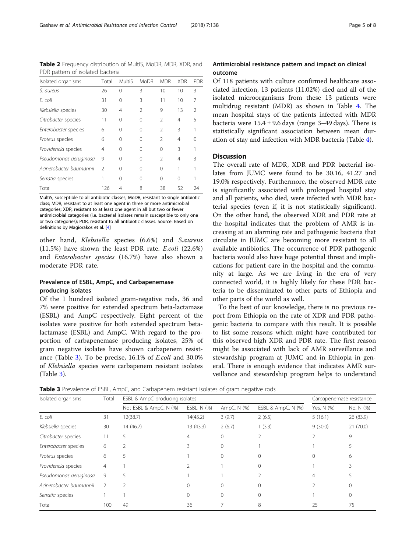<span id="page-4-0"></span>Table 2 Frequency distribution of MultiS, MoDR, MDR, XDR, and PDR pattern of isolated bacteria

| Isolated organisms      | Total          | <b>MultiS</b> | <b>MoDR</b>    | <b>MDR</b>     | <b>XDR</b> | PDR           |
|-------------------------|----------------|---------------|----------------|----------------|------------|---------------|
| S. aureus               | 26             | 0             | 3              | 10             | 10         | 3             |
| F. coli                 | 31             | 0             | 3              | 11             | 10         | 7             |
| Klebsiella species      | 30             | 4             | $\mathfrak{D}$ | 9              | 13         | $\mathcal{P}$ |
| Citrobacter species     | 11             | U             | 0              | $\mathfrak{D}$ | 4          | 5             |
| Enterobacter species    | 6              | Ω             | ∩              | $\mathfrak{D}$ | 3          |               |
| Proteus species         | 6              | Ω             | 0              | $\mathfrak{D}$ | 4          |               |
| Providencia species     | 4              | 0             | 0              | 0              | Β          |               |
| Pseudomonas aeruginosa  | 9              | Ω             | 0              | $\mathfrak{D}$ | 4          | ζ             |
| Acinetobacter baumannii | $\mathfrak{D}$ | Ω             | 0              | 0              |            |               |
| Serratia species        |                | Ω             | 0              | 0              | $\Omega$   |               |
| Total                   | 126            | 4             | 8              | 38             | 52         | 24            |

MultiS, susceptible to all antibiotic classes; MoDR, resistant to single antibiotic class; MDR, resistant to at least one agent in three or more antimicrobial categories; XDR, resistant to at least one agent in all but two or fewer antimicrobial categories (i.e. bacterial isolates remain susceptible to only one or two categories); PDR, resistant to all antibiotic classes. Source: Based on definitions by Magiorakos et al. [\[4\]](#page-6-0)

other hand, Klebsiella species (6.6%) and S.aureus (11.5%) have shown the least PDR rate. E.coli (22.6%) and Enterobacter species (16.7%) have also shown a moderate PDR rate.

# Prevalence of ESBL, AmpC, and Carbapenemase producing isolates

Of the 1 hundred isolated gram-negative rods, 36 and 7% were positive for extended spectrum beta-lactamase (ESBL) and AmpC respectively. Eight percent of the isolates were positive for both extended spectrum betalactamase (ESBL) and AmpC. With regard to the proportion of carbapenemase producing isolates, 25% of gram negative isolates have shown carbapenem resistance (Table 3). To be precise, 16.1% of E.coli and 30.0% of Klebsiella species were carbapenem resistant isolates (Table 3).

# Antimicrobial resistance pattern and impact on clinical outcome

Of 118 patients with culture confirmed healthcare associated infection, 13 patients (11.02%) died and all of the isolated microorganisms from these 13 patients were multidrug resistant (MDR) as shown in Table [4](#page-5-0). The mean hospital stays of the patients infected with MDR bacteria were  $15.4 \pm 9.6$  days (range 3–49 days). There is statistically significant association between mean duration of stay and infection with MDR bacteria (Table [4](#page-5-0)).

# **Discussion**

The overall rate of MDR, XDR and PDR bacterial isolates from JUMC were found to be 30.16, 41.27 and 19.0% respectively. Furthermore, the observed MDR rate is significantly associated with prolonged hospital stay and all patients, who died, were infected with MDR bacterial species (even if, it is not statistically significant). On the other hand, the observed XDR and PDR rate at the hospital indicates that the problem of AMR is increasing at an alarming rate and pathogenic bacteria that circulate in JUMC are becoming more resistant to all available antibiotics. The occurrence of PDR pathogenic bacteria would also have huge potential threat and implications for patient care in the hospital and the community at large. As we are living in the era of very connected world, it is highly likely for these PDR bacteria to be disseminated to other parts of Ethiopia and other parts of the world as well.

To the best of our knowledge, there is no previous report from Ethiopia on the rate of XDR and PDR pathogenic bacteria to compare with this result. It is possible to list some reasons which might have contributed for this observed high XDR and PDR rate. The first reason might be associated with lack of AMR surveillance and stewardship program at JUMC and in Ethiopia in general. There is enough evidence that indicates AMR surveillance and stewardship program helps to understand

**Table 3** Prevalence of ESBL, AmpC, and Carbapenem resistant isolates of gram negative rods

| Isolated organisms      | Total         | ESBL & AmpC producing isolates |             |             |                    |            | Carbapenemase resistance |  |  |
|-------------------------|---------------|--------------------------------|-------------|-------------|--------------------|------------|--------------------------|--|--|
|                         |               | Not ESBL & AmpC, N (%)         | ESBL, N (%) | AmpC, N (%) | ESBL & AmpC, N (%) | Yes, N (%) | No, N (%)                |  |  |
| E. coli                 | 31            | 12(38.7)                       | 14(45.2)    | 3(9.7)      | 2(6.5)             | 5(16.1)    | 26 (83.9)                |  |  |
| Klebsiella species      | 30            | 14(46.7)                       | 13 (43.3)   | 2(6.7)      | 1(3.3)             | 9(30.0)    | 21(70.0)                 |  |  |
| Citrobacter species     |               | 5.                             | 4           | $\Omega$    |                    |            | 9                        |  |  |
| Enterobacter species    | 6             |                                | 3           | $\Omega$    |                    |            |                          |  |  |
| Proteus species         | 6             | 5                              |             | $\circ$     |                    |            | 6                        |  |  |
| Providencia species     | 4             |                                |             |             | 0                  |            | ζ                        |  |  |
| Pseudomonas aeruginosa  | 9             | 5                              |             |             |                    | 4          |                          |  |  |
| Acinetobacter baumannii | $\mathcal{P}$ |                                |             | $\Omega$    |                    |            |                          |  |  |
| Serratia species        |               |                                |             | 0           |                    |            | 0                        |  |  |
| Total                   | 100           | 49                             | 36          |             | 8                  | 25         | 75                       |  |  |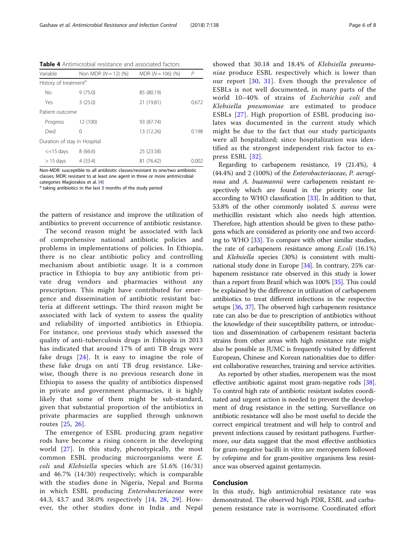<span id="page-5-0"></span>Table 4 Antimicrobial resistance and associated factors

| Variable                          | Non MDR $(N = 12)$ (%) | $MDR (N = 106) (%)$ | P     |  |  |  |
|-----------------------------------|------------------------|---------------------|-------|--|--|--|
| History of treatment <sup>a</sup> |                        |                     |       |  |  |  |
| <b>No</b>                         | 9(75.0)                | 85 (80.19)          |       |  |  |  |
| Yes                               | 3(25.0)                | 21 (19.81)          | 0.672 |  |  |  |
| Patient outcome                   |                        |                     |       |  |  |  |
| Progress                          | 12 (100)               | 93 (87.74)          |       |  |  |  |
| Died                              | 0                      | 13 (12.26)          | 0.198 |  |  |  |
| Duration of stay in Hospital      |                        |                     |       |  |  |  |
| $\leq$ =15 days                   | 8(66.6)                | 25 (23.58)          |       |  |  |  |
| $>$ 15 days                       | 4 (33.4)               | 81 (76.42)          | 0.002 |  |  |  |

Non-MDR: susceptible to all antibiotic classes/resistant to one/two antibiotic classes; MDR: resistant to at least one agent in three or more antimicrobial categories Magiorakos et al. [\[4\]](#page-6-0)  $^{\text{a}}$  taking antibiotics in the last 3 months of the study period

the pattern of resistance and improve the utilization of antibiotics to prevent occurrence of antibiotic resistance.

The second reason might be associated with lack of comprehensive national antibiotic policies and problems in implementations of policies. In Ethiopia, there is no clear antibiotic policy and controlling mechanism about antibiotic usage. It is a common practice in Ethiopia to buy any antibiotic from private drug vendors and pharmacies without any prescription. This might have contributed for emergence and dissemination of antibiotic resistant bacteria at different settings. The third reason might be associated with lack of system to assess the quality and reliability of imported antibiotics in Ethiopia. For instance, one previous study which assessed the quality of anti-tuberculosis drugs in Ethiopia in 2013 has indicated that around 17% of anti TB drugs were fake drugs [\[24\]](#page-7-0). It is easy to imagine the role of these fake drugs on anti TB drug resistance. Likewise, though there is no previous research done in Ethiopia to assess the quality of antibiotics dispensed in private and government pharmacies, it is highly likely that some of them might be sub-standard, given that substantial proportion of the antibiotics in private pharmacies are supplied through unknown routes [[25,](#page-7-0) [26](#page-7-0)].

The emergence of ESBL producing gram negative rods have become a rising concern in the developing world [\[27\]](#page-7-0). In this study, phenotypically, the most common ESBL producing microorganisms were E. coli and Klebsiella species which are 51.6% (16/31) and 46.7% (14/30) respectively; which is comparable with the studies done in Nigeria, Nepal and Burma in which ESBL producing Enterobacteriaceae were 44.3, 43.7 and 38.0% respectively [[14,](#page-6-0) [28](#page-7-0), [29](#page-7-0)]. However, the other studies done in India and Nepal showed that 30.18 and 18.4% of Klebsiella pneumoniae produce ESBL respectively which is lower than our report [[30](#page-7-0), [31](#page-7-0)]. Even though the prevalence of ESBLs is not well documented, in many parts of the world 10–40% of strains of Escherichia coli and Klebsiella pneumoniae are estimated to produce ESBLs [\[27](#page-7-0)]. High proportion of ESBL producing isolates was documented in the current study which might be due to the fact that our study participants were all hospitalized; since hospitalization was identified as the strongest independent risk factor to express ESBL [\[32\]](#page-7-0).

Regarding to carbapenem resistance, 19 (21.4%), 4 (44.4%) and 2 (100%) of the Enterobacteriaceae, P. aeruginosa and A. buamannii were carbapenem resistant respectively which are found in the priority one list according to WHO classification [[33](#page-7-0)]. In addition to that, 53.8% of the other commonly isolated S. aureus were methicillin resistant which also needs high attention. Therefore, high attention should be given to these pathogens which are considered as priority one and two according to WHO [[33](#page-7-0)]. To compare with other similar studies, the rate of carbapenem resistance among  $E\text{.}coli$  (16.1%) and Klebsiella species (30%) is consistent with multinational study done in Europe [\[34](#page-7-0)]. In contrary, 25% carbapenem resistance rate observed in this study is lower than a report from Brazil which was 100% [\[35](#page-7-0)]. This could be explained by the difference in utilization of carbapenem antibiotics to treat different infections in the respective setups [\[36,](#page-7-0) [37\]](#page-7-0). The observed high carbapenem resistance rate can also be due to prescription of antibiotics without the knowledge of their susceptibility pattern, or introduction and dissemination of carbapenem resistant bacteria strains from other areas with high resistance rate might also be possible as JUMC is frequently visited by different European, Chinese and Korean nationalities due to different collaborative researches, training and service activities.

As reported by other studies, meropenem was the most effective antibiotic against most gram-negative rods [[38](#page-7-0)]. To control high rate of antibiotic resistant isolates coordinated and urgent action is needed to prevent the development of drug resistance in the setting. Surveillance on antibiotic resistance will also be most useful to decide the correct empirical treatment and will help to control and prevent infections caused by resistant pathogens. Furthermore, our data suggest that the most effective antibiotics for gram-negative bacilli in vitro are meropenem followed by cefepime and for gram-positive organisms less resistance was observed against gentamycin.

# Conclusion

In this study, high antimicrobial resistance rate was demonstrated. The observed high PDR, ESBL and carbapenem resistance rate is worrisome. Coordinated effort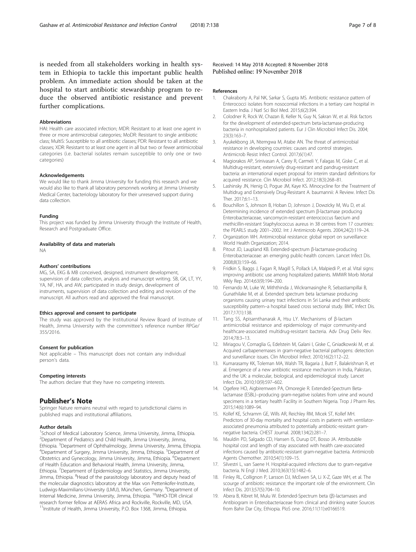<span id="page-6-0"></span>is needed from all stakeholders working in health system in Ethiopia to tackle this important public health problem. An immediate action should be taken at the hospital to start antibiotic stewardship program to reduce the observed antibiotic resistance and prevent further complications.

#### **Abbreviations**

HAI: Health care associated infection; MDR: Resistant to at least one agent in three or more antimicrobial categories; MoDR: Resistant to single antibiotic class; MultiS: Susceptible to all antibiotic classes; PDR: Resistant to all antibiotic classes; XDR: Resistant to at least one agent in all but two or fewer antimicrobial categories (i.e. bacterial isolates remain susceptible to only one or two categories)

#### Acknowledgements

We would like to thank Jimma University for funding this research and we would also like to thank all laboratory personnels working at Jimma University Medical Center, bacteriology laboratory for their unreserved support during data collection.

#### Funding

This project was funded by Jimma University through the Institute of Health, Research and Postgraduate Office.

#### Availability of data and materials

NA

#### Authors' contributions

MG, SA, EKG & MB conceived, designed, instrument development, supervision of data collection, analysis and manuscript writing. SB, GK, LT, YY, YA, NF, HA, and AW, participated in study design, development of instruments, supervision of data collection and editing and revision of the manuscript. All authors read and approved the final manuscript.

### Ethics approval and consent to participate

The study was approved by the Institutional Review Board of Institute of Health, Jimma University with the committee's reference number RPGe/ 355/2016.

#### Consent for publication

Not applicable – This manuscript does not contain any individual person's data.

#### Competing interests

The authors declare that they have no competing interests.

# Publisher's Note

Springer Nature remains neutral with regard to jurisdictional claims in published maps and institutional affiliations.

#### Author details

<sup>1</sup>School of Medical Laboratory Science, Jimma University, Jimma, Ethiopia. 2 Department of Pediatrics and Child Health, Jimma University, Jimma, Ethiopia. <sup>3</sup> Department of Ophthalmology, Jimma University, Jimma, Ethiopia.<br><sup>4</sup> Department of Surgeny, Jimma University, Jimma, Ethiopia. <sup>5</sup> Department of Department of Surgery, Jimma University, Jimma, Ethiopia. <sup>5</sup>Department of Obstetrics and Gynecology, Jimma University, Jimma, Ethiopia. <sup>6</sup>Department of Health Education and Behavioral Health, Jimma University, Jimma, Ethiopia. <sup>7</sup>Department of Epidemiology and Statistics, Jimma University, Jimma, Ethiopia. <sup>8</sup>Head of the parasitology laboratory and deputy head of the molecular diagnostics laboratory at the Max von Pettenkofer-Institute, Ludwigs-Maximilians-University (LMU), München, Germany. <sup>9</sup>Department of Internal Medicine, Jimma University, Jimma, Ethiopia. 10WHO-TDR clinical research former fellow at AERAS Africa and Rockville, Rockville, MD, USA.

<sup>11</sup>Institute of Health, Jimma University, P.O. Box 1368, Jimma, Ethiopia.

Received: 14 May 2018 Accepted: 8 November 2018 Published online: 19 November 2018

#### References

- 1. Chakraborty A, Pal NK, Sarkar S, Gupta MS. Antibiotic resistance pattern of Enterococci isolates from nosocomial infections in a tertiary care hospital in Eastern India. J Natl Sci Biol Med. 2015;6(2):394.
- 2. Colodner R, Rock W, Chazan B, Keller N, Guy N, Sakran W, et al. Risk factors for the development of extended-spectrum beta-lactamase-producing bacteria in nonhospitalized patients. Eur J Clin Microbiol Infect Dis. 2004; 23(3):163–7.
- 3. Ayukekbong JA, Ntemgwa M, Atabe AN. The threat of antimicrobial resistance in developing countries: causes and control strategies. Antimicrob Resist Infect Control. 2017;6(1):47.
- 4. Magiorakos AP, Srinivasan A, Carey R, Carmeli Y, Falagas M, Giske C, et al. Multidrug-resistant, extensively drug-resistant and pandrug-resistant bacteria: an international expert proposal for interim standard definitions for acquired resistance. Clin Microbiol Infect. 2012;18(3):268–81.
- Lashinsky JN, Henig O, Pogue JM, Kaye KS. Minocycline for the Treatment of Multidrug and Extensively Drug-Resistant A. baumannii: A Review. Infect Dis Ther. 2017;6:1–13.
- 6. Bouchillon S, Johnson B, Hoban D, Johnson J, Dowzicky M, Wu D, et al. Determining incidence of extended spectrum β-lactamase producing Enterobacteriaceae, vancomycin-resistant enterococcus faecium and methicillin-resistant Staphylococcus aureus in 38 centres from 17 countries: the PEARLS study 2001–2002. Int J Antimicrob Agents. 2004;24(2):119–24.
- 7. Organization WH. Antimicrobial resistance: global report on surveillance: World Health Organization; 2014.
- 8. Pitout JD, Laupland KB. Extended-spectrum β-lactamase-producing Enterobacteriaceae: an emerging public-health concern. Lancet Infect Dis. 2008;8(3):159–66.
- 9. Fridkin S, Baggs J, Fagan R, Magill S, Pollack LA, Malpiedi P, et al. Vital signs: improving antibiotic use among hospitalized patients. MMWR Morb Mortal Wkly Rep. 2014;63(9):194–200.
- 10. Fernando M, Luke W, Miththinda J, Wickramasinghe R, Sebastiampillai B, Gunathilake M, et al. Extended spectrum beta lactamase producing organisms causing urinary tract infections in Sri Lanka and their antibiotic susceptibility pattern–a hospital based cross sectional study. BMC Infect Dis. 2017;17(1):138.
- 11. Tang SS, Apisarnthanarak A, Hsu LY. Mechanisms of β-lactam antimicrobial resistance and epidemiology of major community-and healthcare-associated multidrug-resistant bacteria. Adv Drug Deliv Rev. 2014;78:3–13.
- 12. Miriagou V, Cornaglia G, Edelstein M, Galani I, Giske C, Gniadkowski M, et al. Acquired carbapenemases in gram-negative bacterial pathogens: detection and surveillance issues. Clin Microbiol Infect. 2010;16(2):112–22.
- 13. Kumarasamy KK, Toleman MA, Walsh TR, Bagaria J, Butt F, Balakrishnan R, et al. Emergence of a new antibiotic resistance mechanism in India, Pakistan, and the UK: a molecular, biological, and epidemiological study. Lancet Infect Dis. 2010;10(9):597–602.
- 14. Ogefere HO, Aigbiremwen PA, Omoregie R. Extended-Spectrum Betalactamase (ESBL)–producing gram-negative isolates from urine and wound specimens in a tertiary health Facility in Southern Nigeria. Trop J Pharm Res. 2015;14(6):1089–94.
- 15. Kollef KE, Schramm GE, Wills AR, Reichley RM, Micek ST, Kollef MH. Predictors of 30-day mortality and hospital costs in patients with ventilatorassociated pneumonia attributed to potentially antibiotic-resistant gramnegative bacteria. CHEST Journal. 2008;134(2):281–7.
- 16. Mauldin PD, Salgado CD, Hansen IS, Durup DT, Bosso JA. Attributable hospital cost and length of stay associated with health care-associated infections caused by antibiotic-resistant gram-negative bacteria. Antimicrob Agents Chemother. 2010;54(1):109–15.
- 17. Silvestri L, van Saene H. Hospital-acquired infections due to gram-negative bacteria. N Engl J Med. 2010;363(15):1482–6.
- 18. Finley RL, Collignon P, Larsson DJ, McEwen SA, Li X-Z, Gaze WH, et al. The scourge of antibiotic resistance: the important role of the environment. Clin Infect Dis. 2013;57(5):704–10.
- 19. Abera B, Kibret M, Mulu W. Extended-Spectrum beta (β)-lactamases and Antibiogram in Enterobacteriaceae from clinical and drinking water Sources from Bahir Dar City, Ethiopia. PloS one. 2016;11(11):e0166519.